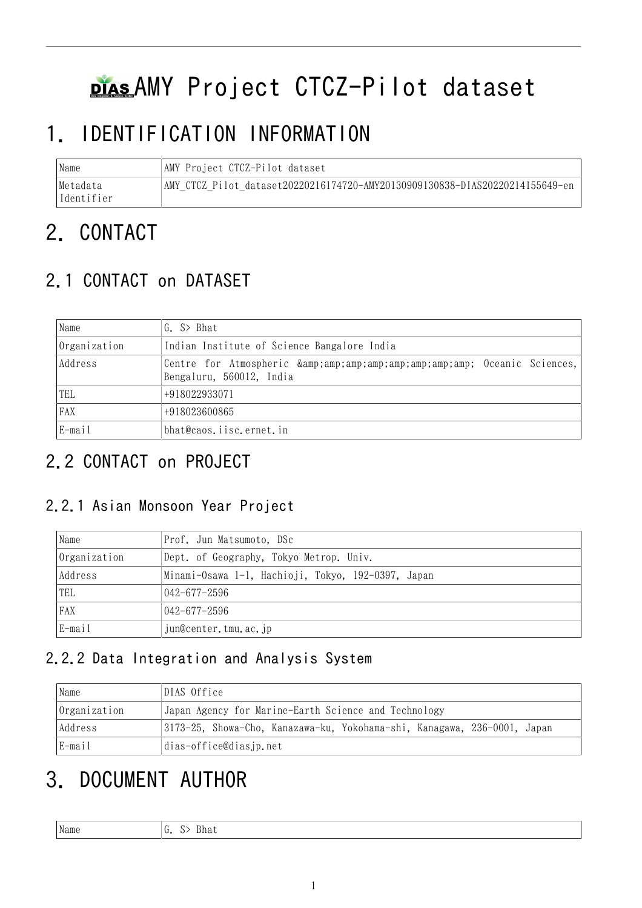# plasAMY Project CTCZ-Pilot dataset

# 1. IDENTIFICATION INFORMATION

| Name       | AMY Project CTCZ-Pilot dataset                                                |
|------------|-------------------------------------------------------------------------------|
| Metadata   | AMY CTCZ Pilot dataset20220216174720-AMY20130909130838-DIAS20220214155649-en- |
| Identifier |                                                                               |

# 2. CONTACT

## 2.1 CONTACT on DATASET

| Name         | G. S> Bhat                                                             |  |  |
|--------------|------------------------------------------------------------------------|--|--|
| Organization | Indian Institute of Science Bangalore India                            |  |  |
| Address      | Centre for Atmospheric & Oceanic Sciences,<br>Bengaluru, 560012, India |  |  |
| TEL          | +918022933071                                                          |  |  |
| FAX          | +918023600865                                                          |  |  |
| E-mail       | bhat@caos.iisc.ernet.in                                                |  |  |

## 2.2 CONTACT on PROJECT

#### 2.2.1 Asian Monsoon Year Project

| Name         | Prof. Jun Matsumoto, DSc                           |
|--------------|----------------------------------------------------|
| Organization | Dept. of Geography, Tokyo Metrop. Univ.            |
| Address      | Minami-Osawa 1-1, Hachioji, Tokyo, 192-0397, Japan |
| TEL          | $042 - 677 - 2596$                                 |
| FAX          | $042 - 677 - 2596$                                 |
| E-mail       | jun@center.tmu.ac.jp                               |

#### 2.2.2 Data Integration and Analysis System

| Name         | DIAS Office                                                              |  |  |
|--------------|--------------------------------------------------------------------------|--|--|
| Organization | Japan Agency for Marine-Earth Science and Technology                     |  |  |
| Address      | 3173-25, Showa-Cho, Kanazawa-ku, Yokohama-shi, Kanagawa, 236-0001, Japan |  |  |
| E-mail       | dias-office@diasjp.net                                                   |  |  |

# 3. DOCUMENT AUTHOR

Name  $G. S > Bhat$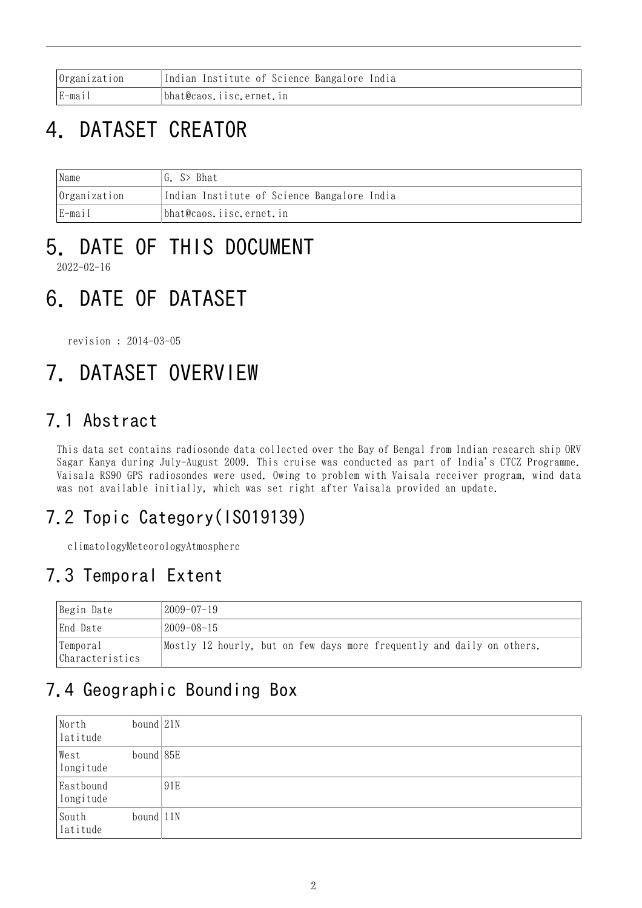| <i>Organization</i> | Indian Institute of Science Bangalore India |
|---------------------|---------------------------------------------|
| $E$ -mail           | bhat@caos.iisc.ernet.in                     |

## 4. DATASET CREATOR

| 'Name        | G. S> Bhat                                  |  |
|--------------|---------------------------------------------|--|
| Organization | Indian Institute of Science Bangalore India |  |
| E-mail       | bhat@caos.iisc.ernet.in                     |  |

# 5. DATE OF THIS DOCUMENT

2022-02-16

## 6. DATE OF DATASET

revision : 2014-03-05

# 7. DATASET OVERVIEW

### 7.1 Abstract

This data set contains radiosonde data collected over the Bay of Bengal from Indian research ship ORV Sagar Kanya during July-August 2009. This cruise was conducted as part of India's CTCZ Programme. Vaisala RS90 GPS radiosondes were used. Owing to problem with Vaisala receiver program, wind data was not available initially, which was set right after Vaisala provided an update.

### 7.2 Topic Category(ISO19139)

climatologyMeteorologyAtmosphere

### 7.3 Temporal Extent

| Begin Date                   | 2009–07–19                                                             |
|------------------------------|------------------------------------------------------------------------|
| End Date                     | 2009-08-15                                                             |
| 'Temporal<br>Characteristics | Mostly 12 hourly, but on few days more frequently and daily on others. |

## 7.4 Geographic Bounding Box

| North<br>latitude      | bound  21N  |     |
|------------------------|-------------|-----|
| West<br>longitude      | $bound$ 85E |     |
| Eastbound<br>longitude |             | 91E |
| South<br>latitude      | $bound$ 11N |     |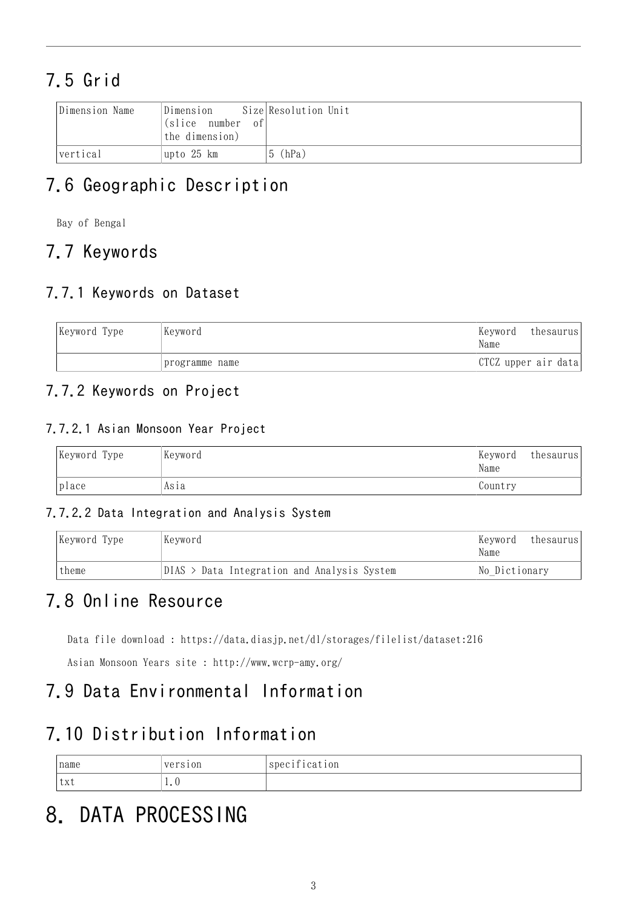## 7.5 Grid

| Dimension Name | Dimension<br>$\vert$ (slice number of<br>the dimension) | Size Resolution Unit |
|----------------|---------------------------------------------------------|----------------------|
| vertical       | upto 25 km                                              | $ 5$ (hPa)           |

### 7.6 Geographic Description

Bay of Bengal

### 7.7 Keywords

#### 7.7.1 Keywords on Dataset

| Keyword Type | Keyword        | Keyword<br>Name     | thesaurus |
|--------------|----------------|---------------------|-----------|
|              | programme name | CTCZ upper air data |           |

#### 7.7.2 Keywords on Project

#### 7.7.2.1 Asian Monsoon Year Project

| Keyword Type | Keyword | Keyword<br>Name | thesaurus |
|--------------|---------|-----------------|-----------|
| place        | Asıa    | Country         |           |

#### 7.7.2.2 Data Integration and Analysis System

| Keyword Type | Kevword<br>Keyword<br>Name<br>$DIAS$ > Data Integration and Analysis System |  | thesaurus     |
|--------------|-----------------------------------------------------------------------------|--|---------------|
| theme        |                                                                             |  | No Dictionary |

### 7.8 Online Resource

Data file download : <https://data.diasjp.net/dl/storages/filelist/dataset:216>

Asian Monsoon Years site : <http://www.wcrp-amy.org/>

### 7.9 Data Environmental Information

#### 7.10 Distribution Information

| name | version | $\cdot$ $\cdot$<br>specification |
|------|---------|----------------------------------|
| 'txt | 1 . V   |                                  |

# 8. DATA PROCESSING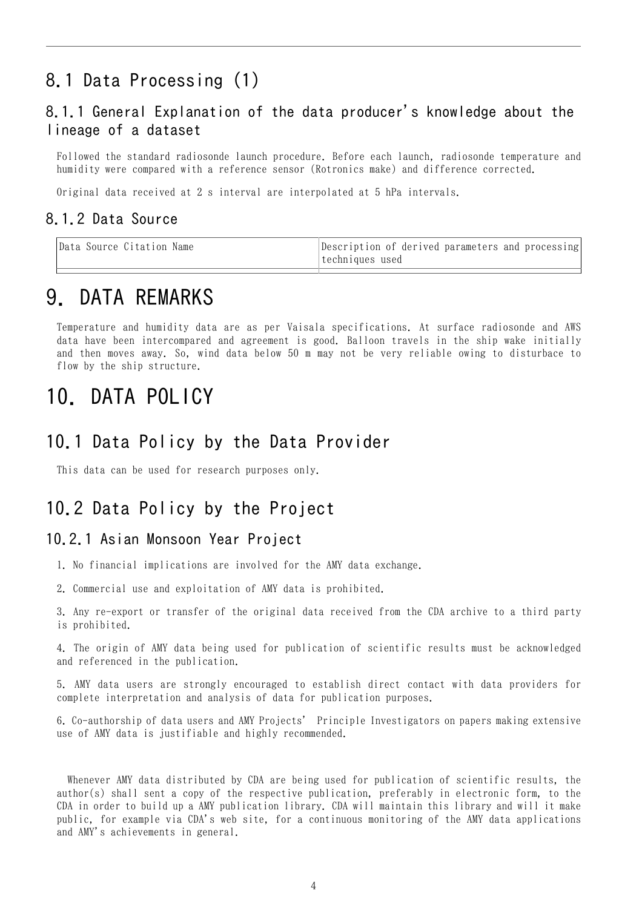### 8.1 Data Processing (1)

#### 8.1.1 General Explanation of the data producer's knowledge about the lineage of a dataset

Followed the standard radiosonde launch procedure. Before each launch, radiosonde temperature and humidity were compared with a reference sensor (Rotronics make) and difference corrected.

Original data received at 2 s interval are interpolated at 5 hPa intervals.

#### 8.1.2 Data Source

| Data Source Citation Name | Description of derived parameters and processing<br>ltechniques used |
|---------------------------|----------------------------------------------------------------------|
|                           |                                                                      |

### 9. DATA REMARKS

Temperature and humidity data are as per Vaisala specifications. At surface radiosonde and AWS data have been intercompared and agreement is good. Balloon travels in the ship wake initially and then moves away. So, wind data below 50 m may not be very reliable owing to disturbace to flow by the ship structure.

### 10. DATA POLICY

#### 10.1 Data Policy by the Data Provider

This data can be used for research purposes only.

#### 10.2 Data Policy by the Project

#### 10.2.1 Asian Monsoon Year Project

- 1. No financial implications are involved for the AMY data exchange.
- 2. Commercial use and exploitation of AMY data is prohibited.

3. Any re-export or transfer of the original data received from the CDA archive to a third party is prohibited.

4. The origin of AMY data being used for publication of scientific results must be acknowledged and referenced in the publication.

5. AMY data users are strongly encouraged to establish direct contact with data providers for complete interpretation and analysis of data for publication purposes.

6. Co-authorship of data users and AMY Projects' Principle Investigators on papers making extensive use of AMY data is justifiable and highly recommended.

 Whenever AMY data distributed by CDA are being used for publication of scientific results, the author(s) shall sent a copy of the respective publication, preferably in electronic form, to the CDA in order to build up a AMY publication library. CDA will maintain this library and will it make public, for example via CDA's web site, for a continuous monitoring of the AMY data applications and AMY's achievements in general.